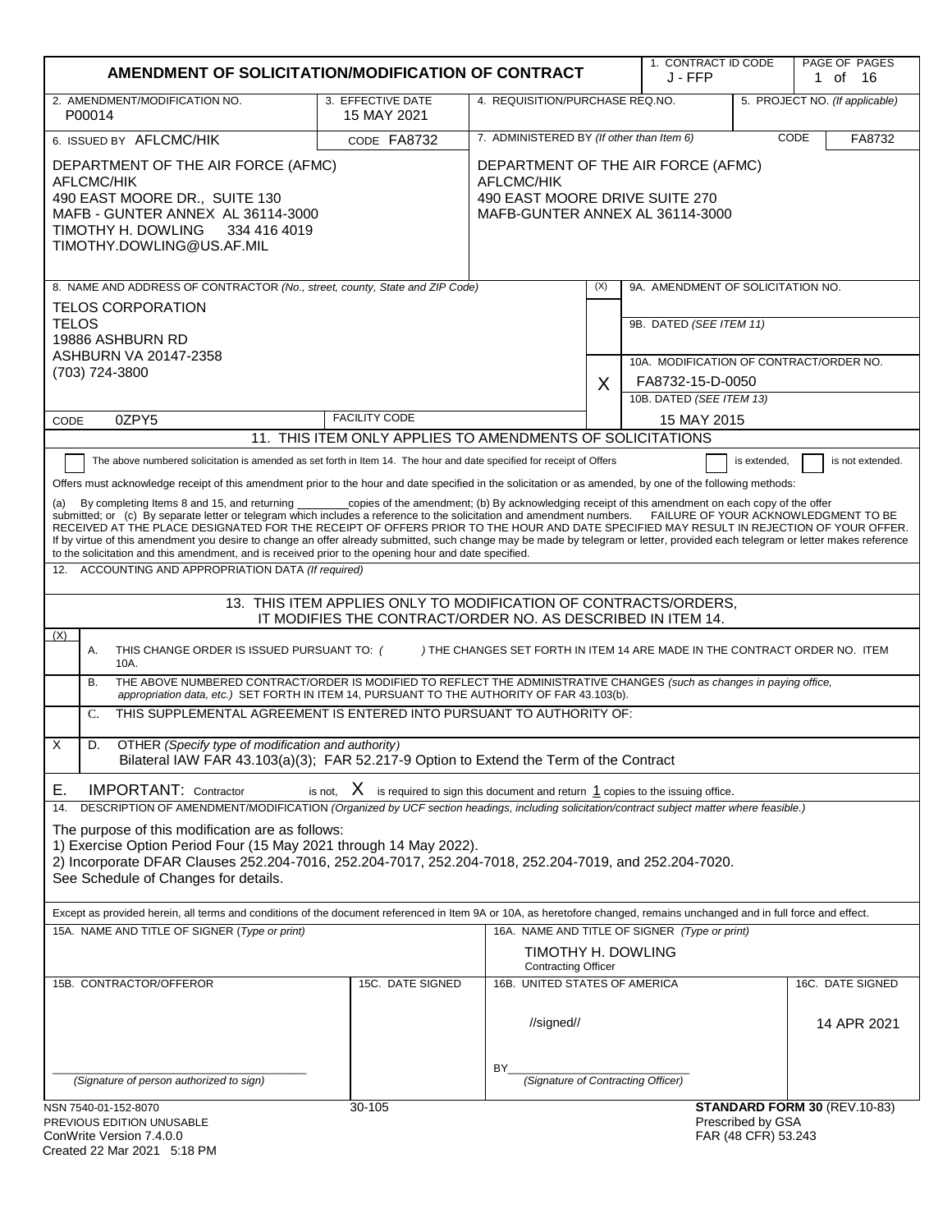| AMENDMENT OF SOLICITATION/MODIFICATION OF CONTRACT                                                                                                                                                                                                                                                                                                                                                                                                                                                                                                                                                                                                                                                                                                                                                                                                                                                                                                                                                                                                                                                                                                                                                                                                                                                                                                                                                                                    |                                                                                                                              |                                                  |     | 1. CONTRACT ID CODE<br>J - FFP                                                         |                                          | PAGE OF PAGES<br>1 of 16        |
|---------------------------------------------------------------------------------------------------------------------------------------------------------------------------------------------------------------------------------------------------------------------------------------------------------------------------------------------------------------------------------------------------------------------------------------------------------------------------------------------------------------------------------------------------------------------------------------------------------------------------------------------------------------------------------------------------------------------------------------------------------------------------------------------------------------------------------------------------------------------------------------------------------------------------------------------------------------------------------------------------------------------------------------------------------------------------------------------------------------------------------------------------------------------------------------------------------------------------------------------------------------------------------------------------------------------------------------------------------------------------------------------------------------------------------------|------------------------------------------------------------------------------------------------------------------------------|--------------------------------------------------|-----|----------------------------------------------------------------------------------------|------------------------------------------|---------------------------------|
| 2. AMENDMENT/MODIFICATION NO.<br>P00014                                                                                                                                                                                                                                                                                                                                                                                                                                                                                                                                                                                                                                                                                                                                                                                                                                                                                                                                                                                                                                                                                                                                                                                                                                                                                                                                                                                               | 3. EFFECTIVE DATE<br>15 MAY 2021                                                                                             | 4. REQUISITION/PURCHASE REQ.NO.                  |     |                                                                                        |                                          | 5. PROJECT NO. (If applicable)  |
| 6. ISSUED BY AFLCMC/HIK                                                                                                                                                                                                                                                                                                                                                                                                                                                                                                                                                                                                                                                                                                                                                                                                                                                                                                                                                                                                                                                                                                                                                                                                                                                                                                                                                                                                               | CODE FA8732                                                                                                                  | 7. ADMINISTERED BY (If other than Item 6)        |     |                                                                                        |                                          | CODE<br>FA8732                  |
| DEPARTMENT OF THE AIR FORCE (AFMC)<br><b>AFLCMC/HIK</b><br>490 EAST MOORE DR., SUITE 130<br>MAFB - GUNTER ANNEX AL 36114-3000<br>TIMOTHY H. DOWLING<br>334 416 4019<br>TIMOTHY.DOWLING@US.AF.MIL                                                                                                                                                                                                                                                                                                                                                                                                                                                                                                                                                                                                                                                                                                                                                                                                                                                                                                                                                                                                                                                                                                                                                                                                                                      | DEPARTMENT OF THE AIR FORCE (AFMC)<br><b>AFLCMC/HIK</b><br>490 EAST MOORE DRIVE SUITE 270<br>MAFB-GUNTER ANNEX AL 36114-3000 |                                                  |     |                                                                                        |                                          |                                 |
| 8. NAME AND ADDRESS OF CONTRACTOR (No., street, county, State and ZIP Code)                                                                                                                                                                                                                                                                                                                                                                                                                                                                                                                                                                                                                                                                                                                                                                                                                                                                                                                                                                                                                                                                                                                                                                                                                                                                                                                                                           |                                                                                                                              |                                                  | (X) | 9A. AMENDMENT OF SOLICITATION NO.                                                      |                                          |                                 |
| <b>TELOS CORPORATION</b><br><b>TELOS</b><br>19886 ASHBURN RD<br>ASHBURN VA 20147-2358<br>(703) 724-3800                                                                                                                                                                                                                                                                                                                                                                                                                                                                                                                                                                                                                                                                                                                                                                                                                                                                                                                                                                                                                                                                                                                                                                                                                                                                                                                               |                                                                                                                              |                                                  | X   | 9B. DATED (SEE ITEM 11)<br>10A. MODIFICATION OF CONTRACT/ORDER NO.<br>FA8732-15-D-0050 |                                          |                                 |
|                                                                                                                                                                                                                                                                                                                                                                                                                                                                                                                                                                                                                                                                                                                                                                                                                                                                                                                                                                                                                                                                                                                                                                                                                                                                                                                                                                                                                                       |                                                                                                                              |                                                  |     | 10B. DATED (SEE ITEM 13)                                                               |                                          |                                 |
| 0ZPY5<br>CODE                                                                                                                                                                                                                                                                                                                                                                                                                                                                                                                                                                                                                                                                                                                                                                                                                                                                                                                                                                                                                                                                                                                                                                                                                                                                                                                                                                                                                         | <b>FACILITY CODE</b>                                                                                                         |                                                  |     | 15 MAY 2015                                                                            |                                          |                                 |
|                                                                                                                                                                                                                                                                                                                                                                                                                                                                                                                                                                                                                                                                                                                                                                                                                                                                                                                                                                                                                                                                                                                                                                                                                                                                                                                                                                                                                                       | 11. THIS ITEM ONLY APPLIES TO AMENDMENTS OF SOLICITATIONS                                                                    |                                                  |     |                                                                                        |                                          |                                 |
| The above numbered solicitation is amended as set forth in Item 14. The hour and date specified for receipt of Offers<br>is not extended.<br>is extended,<br>Offers must acknowledge receipt of this amendment prior to the hour and date specified in the solicitation or as amended, by one of the following methods:<br>_copies of the amendment; (b) By acknowledging receipt of this amendment on each copy of the offer<br>By completing Items 8 and 15, and returning<br>(a)<br>submitted; or (c) By separate letter or telegram which includes a reference to the solicitation and amendment numbers. FAILURE OF YOUR ACKNOWLEDGMENT TO BE<br>RECEIVED AT THE PLACE DESIGNATED FOR THE RECEIPT OF OFFERS PRIOR TO THE HOUR AND DATE SPECIFIED MAY RESULT IN REJECTION OF YOUR OFFER.<br>If by virtue of this amendment you desire to change an offer already submitted, such change may be made by telegram or letter, provided each telegram or letter makes reference<br>to the solicitation and this amendment, and is received prior to the opening hour and date specified.<br>ACCOUNTING AND APPROPRIATION DATA (If required)<br>12.<br>13. THIS ITEM APPLIES ONLY TO MODIFICATION OF CONTRACTS/ORDERS,<br>IT MODIFIES THE CONTRACT/ORDER NO. AS DESCRIBED IN ITEM 14.<br>(X)<br>Α.<br>THIS CHANGE ORDER IS ISSUED PURSUANT TO: (<br>) THE CHANGES SET FORTH IN ITEM 14 ARE MADE IN THE CONTRACT ORDER NO. ITEM<br>10A. |                                                                                                                              |                                                  |     |                                                                                        |                                          |                                 |
| THE ABOVE NUMBERED CONTRACT/ORDER IS MODIFIED TO REFLECT THE ADMINISTRATIVE CHANGES (such as changes in paying office,<br>В.<br>appropriation data, etc.) SET FORTH IN ITEM 14, PURSUANT TO THE AUTHORITY OF FAR 43.103(b).                                                                                                                                                                                                                                                                                                                                                                                                                                                                                                                                                                                                                                                                                                                                                                                                                                                                                                                                                                                                                                                                                                                                                                                                           |                                                                                                                              |                                                  |     |                                                                                        |                                          |                                 |
| THIS SUPPLEMENTAL AGREEMENT IS ENTERED INTO PURSUANT TO AUTHORITY OF:<br>C.                                                                                                                                                                                                                                                                                                                                                                                                                                                                                                                                                                                                                                                                                                                                                                                                                                                                                                                                                                                                                                                                                                                                                                                                                                                                                                                                                           |                                                                                                                              |                                                  |     |                                                                                        |                                          |                                 |
| X<br>OTHER (Specify type of modification and authority)<br>D.<br>Bilateral IAW FAR 43.103(a)(3); FAR 52.217-9 Option to Extend the Term of the Contract                                                                                                                                                                                                                                                                                                                                                                                                                                                                                                                                                                                                                                                                                                                                                                                                                                                                                                                                                                                                                                                                                                                                                                                                                                                                               |                                                                                                                              |                                                  |     |                                                                                        |                                          |                                 |
| <b>IMPORTANT: Contractor</b><br>is not, $X$ is required to sign this document and return $1$ copies to the issuing office.<br>Е.<br>DESCRIPTION OF AMENDMENT/MODIFICATION (Organized by UCF section headings, including solicitation/contract subject matter where feasible.)<br>14.<br>The purpose of this modification are as follows:<br>1) Exercise Option Period Four (15 May 2021 through 14 May 2022).<br>2) Incorporate DFAR Clauses 252.204-7016, 252.204-7017, 252.204-7018, 252.204-7019, and 252.204-7020.<br>See Schedule of Changes for details.                                                                                                                                                                                                                                                                                                                                                                                                                                                                                                                                                                                                                                                                                                                                                                                                                                                                        |                                                                                                                              |                                                  |     |                                                                                        |                                          |                                 |
| Except as provided herein, all terms and conditions of the document referenced in Item 9A or 10A, as heretofore changed, remains unchanged and in full force and effect.                                                                                                                                                                                                                                                                                                                                                                                                                                                                                                                                                                                                                                                                                                                                                                                                                                                                                                                                                                                                                                                                                                                                                                                                                                                              |                                                                                                                              |                                                  |     |                                                                                        |                                          |                                 |
| 15A. NAME AND TITLE OF SIGNER (Type or print)                                                                                                                                                                                                                                                                                                                                                                                                                                                                                                                                                                                                                                                                                                                                                                                                                                                                                                                                                                                                                                                                                                                                                                                                                                                                                                                                                                                         |                                                                                                                              | TIMOTHY H. DOWLING<br><b>Contracting Officer</b> |     | 16A. NAME AND TITLE OF SIGNER (Type or print)                                          |                                          |                                 |
| 15B. CONTRACTOR/OFFEROR                                                                                                                                                                                                                                                                                                                                                                                                                                                                                                                                                                                                                                                                                                                                                                                                                                                                                                                                                                                                                                                                                                                                                                                                                                                                                                                                                                                                               | 15C. DATE SIGNED                                                                                                             | 16B. UNITED STATES OF AMERICA<br>//signed//      |     |                                                                                        |                                          | 16C. DATE SIGNED<br>14 APR 2021 |
| (Signature of person authorized to sign)                                                                                                                                                                                                                                                                                                                                                                                                                                                                                                                                                                                                                                                                                                                                                                                                                                                                                                                                                                                                                                                                                                                                                                                                                                                                                                                                                                                              |                                                                                                                              | BY.<br>(Signature of Contracting Officer)        |     |                                                                                        |                                          |                                 |
| NSN 7540-01-152-8070<br>PREVIOUS EDITION UNUSABLE<br>ConWrite Version $7400$                                                                                                                                                                                                                                                                                                                                                                                                                                                                                                                                                                                                                                                                                                                                                                                                                                                                                                                                                                                                                                                                                                                                                                                                                                                                                                                                                          | 30-105                                                                                                                       |                                                  |     |                                                                                        | Prescribed by GSA<br>FAR (48 CFR) 53 243 | STANDARD FORM 30 (REV.10-83)    |

| ConWrite Version 7.4.0.0    |  |
|-----------------------------|--|
| Created 22 Mar 2021 5:18 PM |  |

FAR (48 CFR) 53.243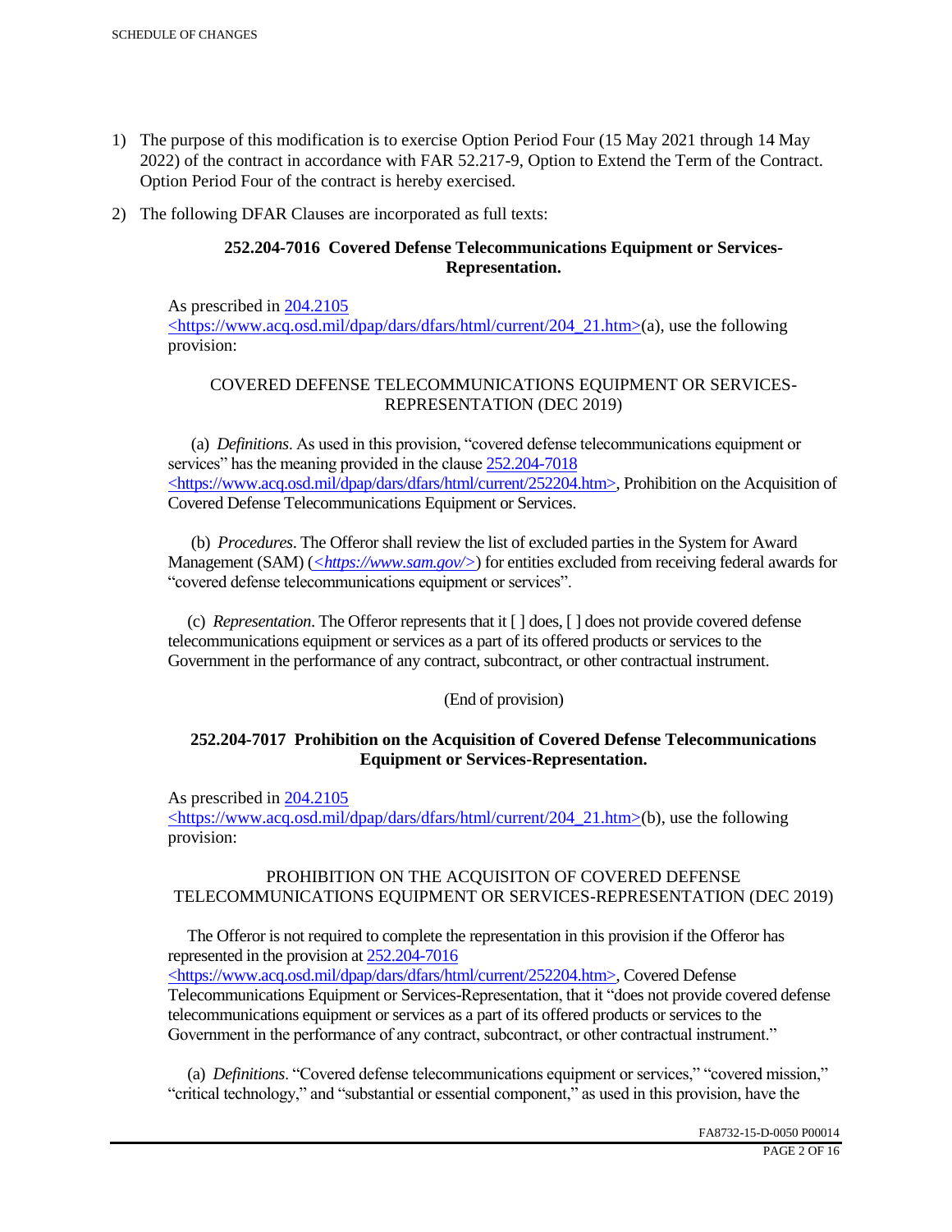- 1) The purpose of this modification is to exercise Option Period Four (15 May 2021 through 14 May 2022) of the contract in accordance with FAR 52.217-9, Option to Extend the Term of the Contract. Option Period Four of the contract is hereby exercised.
- 2) The following DFAR Clauses are incorporated as full texts:

# **252.204-7016 Covered Defense Telecommunications Equipment or Services-Representation.**

As prescribed in 204.2105 <https://www.acq.osd.mil/dpap/dars/dfars/html/current/204\_21.htm>(a), use the following provision:

# COVERED DEFENSE TELECOMMUNICATIONS EQUIPMENT OR SERVICES-REPRESENTATION (DEC 2019)

 (a) *Definitions*. As used in this provision, "covered defense telecommunications equipment or services" has the meaning provided in the clause  $252.204 - 7018$ <https://www.acq.osd.mil/dpap/dars/dfars/html/current/252204.htm>, Prohibition on the Acquisition of Covered Defense Telecommunications Equipment or Services.

 (b) *Procedures*. The Offeror shall review the list of excluded parties in the System for Award Management (SAM) (*<https://www.sam.gov/>*) for entities excluded from receiving federal awards for "covered defense telecommunications equipment or services".

 (c) *Representation*. The Offeror represents that it [ ] does, [ ] does not provide covered defense telecommunications equipment or services as a part of its offered products or services to the Government in the performance of any contract, subcontract, or other contractual instrument.

## (End of provision)

## **252.204-7017 Prohibition on the Acquisition of Covered Defense Telecommunications Equipment or Services-Representation.**

As prescribed in 204.2105

<https://www.acq.osd.mil/dpap/dars/dfars/html/current/204\_21.htm>(b), use the following provision:

## PROHIBITION ON THE ACQUISITON OF COVERED DEFENSE TELECOMMUNICATIONS EQUIPMENT OR SERVICES-REPRESENTATION (DEC 2019)

 The Offeror is not required to complete the representation in this provision if the Offeror has represented in the provision at 252.204-7016

<https://www.acq.osd.mil/dpap/dars/dfars/html/current/252204.htm>, Covered Defense Telecommunications Equipment or Services-Representation, that it "does not provide covered defense telecommunications equipment or services as a part of its offered products or services to the Government in the performance of any contract, subcontract, or other contractual instrument."

 (a) *Definitions*. "Covered defense telecommunications equipment or services," "covered mission," "critical technology," and "substantial or essential component," as used in this provision, have the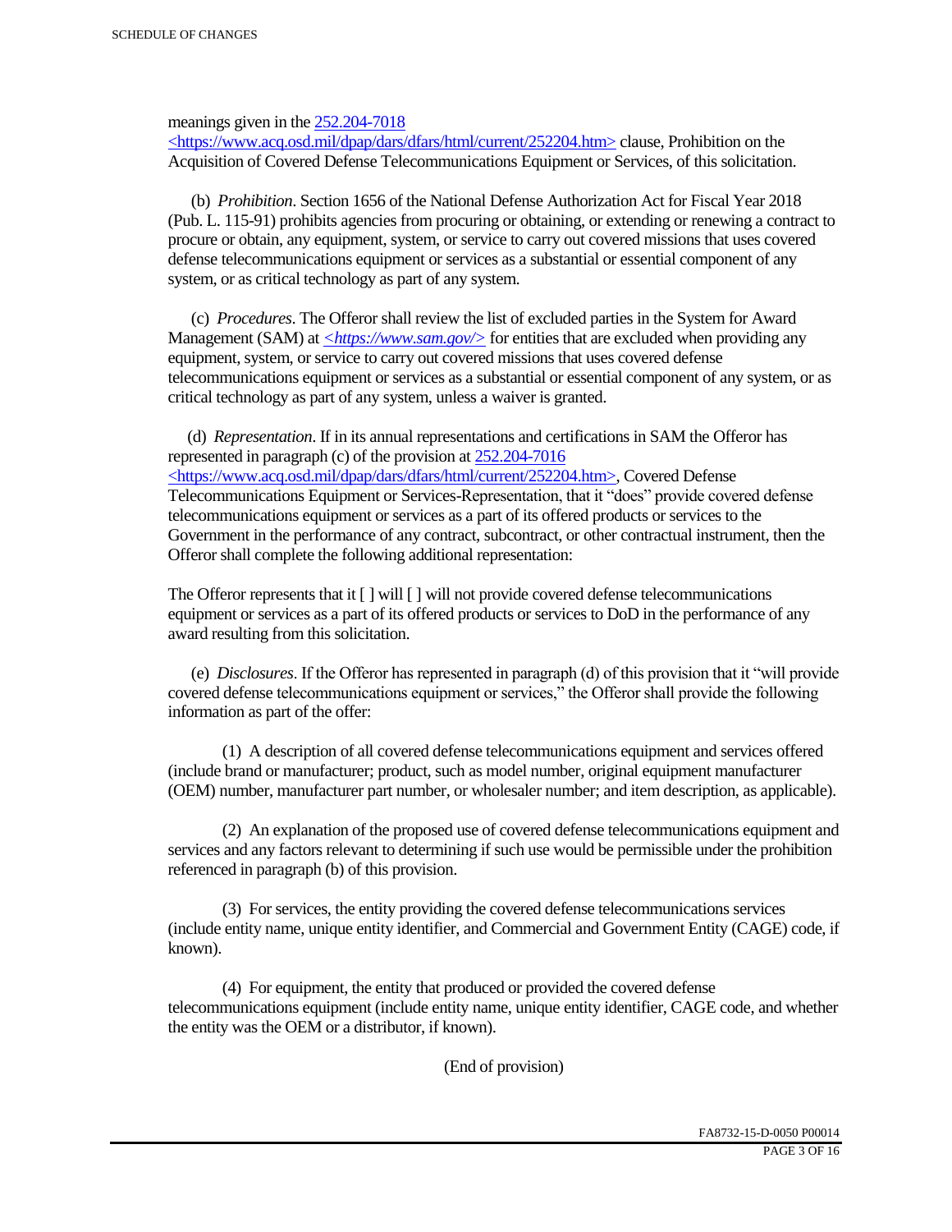meanings given in the 252.204-7018

 $\langle$ https://www.acq.osd.mil/dpap/dars/dfars/html/current/252204.htm> clause, Prohibition on the Acquisition of Covered Defense Telecommunications Equipment or Services, of this solicitation.

 (b) *Prohibition*. Section 1656 of the National Defense Authorization Act for Fiscal Year 2018 (Pub. L. 115-91) prohibits agencies from procuring or obtaining, or extending or renewing a contract to procure or obtain, any equipment, system, or service to carry out covered missions that uses covered defense telecommunications equipment or services as a substantial or essential component of any system, or as critical technology as part of any system.

 (c) *Procedures*. The Offeror shall review the list of excluded parties in the System for Award Management (SAM) at  $\leq$ https://www.sam.gov/> for entities that are excluded when providing any equipment, system, or service to carry out covered missions that uses covered defense telecommunications equipment or services as a substantial or essential component of any system, or as critical technology as part of any system, unless a waiver is granted.

 (d) *Representation*. If in its annual representations and certifications in SAM the Offeror has represented in paragraph (c) of the provision at 252.204-7016 <https://www.acq.osd.mil/dpap/dars/dfars/html/current/252204.htm>, Covered Defense Telecommunications Equipment or Services-Representation, that it "does" provide covered defense telecommunications equipment or services as a part of its offered products or services to the Government in the performance of any contract, subcontract, or other contractual instrument, then the Offeror shall complete the following additional representation:

The Offeror represents that it  $\lceil \cdot \rceil$  will  $\lceil \cdot \rceil$  will not provide covered defense telecommunications equipment or services as a part of its offered products or services to DoD in the performance of any award resulting from this solicitation.

 (e) *Disclosures*. If the Offeror has represented in paragraph (d) of this provision that it "will provide covered defense telecommunications equipment or services," the Offeror shall provide the following information as part of the offer:

 (1) A description of all covered defense telecommunications equipment and services offered (include brand or manufacturer; product, such as model number, original equipment manufacturer (OEM) number, manufacturer part number, or wholesaler number; and item description, as applicable).

 (2) An explanation of the proposed use of covered defense telecommunications equipment and services and any factors relevant to determining if such use would be permissible under the prohibition referenced in paragraph (b) of this provision.

 (3) For services, the entity providing the covered defense telecommunications services (include entity name, unique entity identifier, and Commercial and Government Entity (CAGE) code, if known).

 (4) For equipment, the entity that produced or provided the covered defense telecommunications equipment (include entity name, unique entity identifier, CAGE code, and whether the entity was the OEM or a distributor, if known).

(End of provision)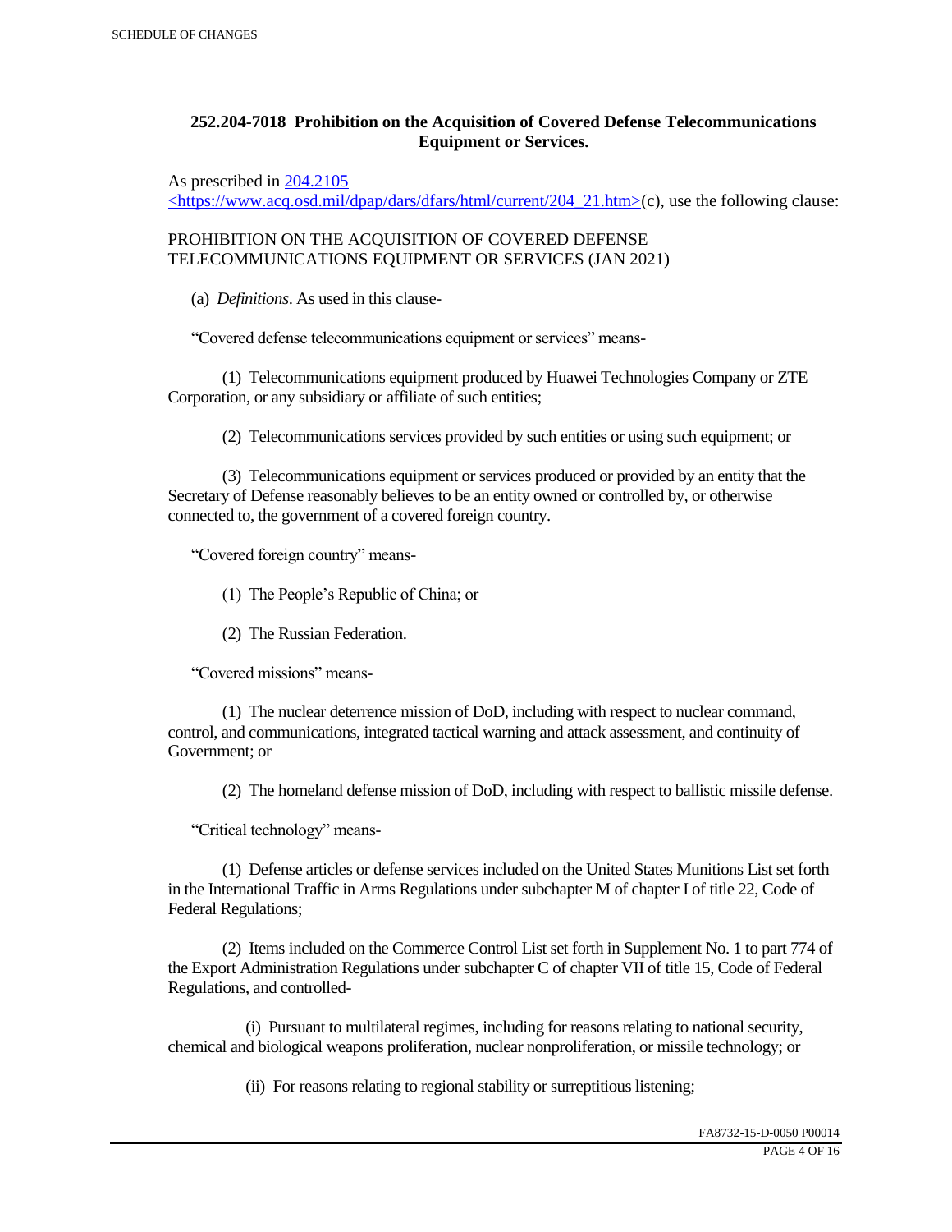# **252.204-7018 Prohibition on the Acquisition of Covered Defense Telecommunications Equipment or Services.**

As prescribed in 204.2105

 $\langle$ https://www.acq.osd.mil/dpap/dars/dfars/html/current/204\_21.htm>(c), use the following clause:

PROHIBITION ON THE ACQUISITION OF COVERED DEFENSE TELECOMMUNICATIONS EQUIPMENT OR SERVICES (JAN 2021)

(a) *Definitions*. As used in this clause-

"Covered defense telecommunications equipment or services" means-

 (1) Telecommunications equipment produced by Huawei Technologies Company or ZTE Corporation, or any subsidiary or affiliate of such entities;

(2) Telecommunications services provided by such entities or using such equipment; or

 (3) Telecommunications equipment or services produced or provided by an entity that the Secretary of Defense reasonably believes to be an entity owned or controlled by, or otherwise connected to, the government of a covered foreign country.

"Covered foreign country" means-

(1) The People's Republic of China; or

(2) The Russian Federation.

"Covered missions" means-

 (1) The nuclear deterrence mission of DoD, including with respect to nuclear command, control, and communications, integrated tactical warning and attack assessment, and continuity of Government; or

(2) The homeland defense mission of DoD, including with respect to ballistic missile defense.

"Critical technology" means-

 (1) Defense articles or defense services included on the United States Munitions List set forth in the International Traffic in Arms Regulations under subchapter M of chapter I of title 22, Code of Federal Regulations;

 (2) Items included on the Commerce Control List set forth in Supplement No. 1 to part 774 of the Export Administration Regulations under subchapter C of chapter VII of title 15, Code of Federal Regulations, and controlled-

 (i) Pursuant to multilateral regimes, including for reasons relating to national security, chemical and biological weapons proliferation, nuclear nonproliferation, or missile technology; or

(ii) For reasons relating to regional stability or surreptitious listening;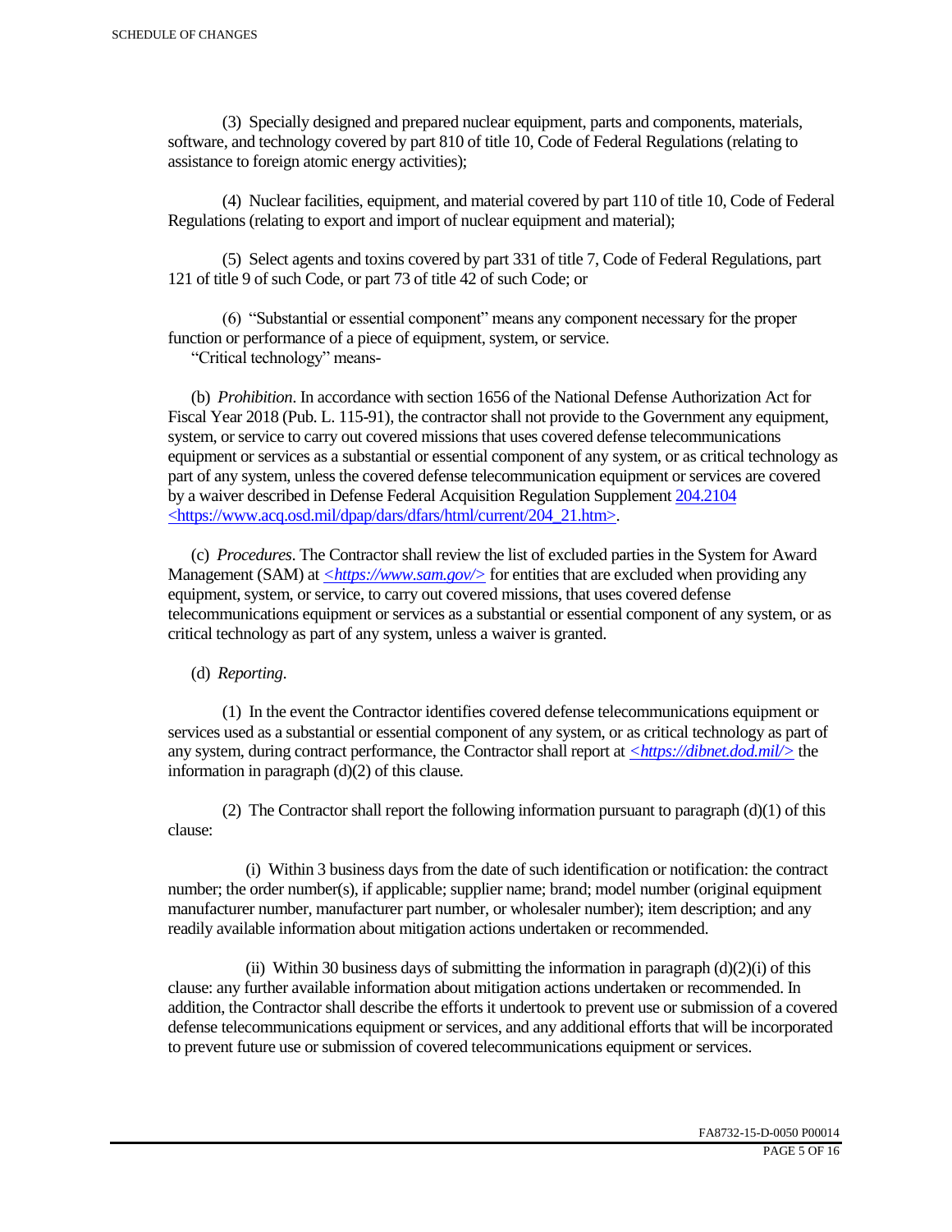(3) Specially designed and prepared nuclear equipment, parts and components, materials, software, and technology covered by part 810 of title 10, Code of Federal Regulations (relating to assistance to foreign atomic energy activities);

 (4) Nuclear facilities, equipment, and material covered by part 110 of title 10, Code of Federal Regulations (relating to export and import of nuclear equipment and material);

 (5) Select agents and toxins covered by part 331 of title 7, Code of Federal Regulations, part 121 of title 9 of such Code, or part 73 of title 42 of such Code; or

 (6) "Substantial or essential component" means any component necessary for the proper function or performance of a piece of equipment, system, or service.

"Critical technology" means-

 (b) *Prohibition*. In accordance with section 1656 of the National Defense Authorization Act for Fiscal Year 2018 (Pub. L. 115-91), the contractor shall not provide to the Government any equipment, system, or service to carry out covered missions that uses covered defense telecommunications equipment or services as a substantial or essential component of any system, or as critical technology as part of any system, unless the covered defense telecommunication equipment or services are covered by a waiver described in Defense Federal Acquisition Regulation Supplement 204.2104 <https://www.acq.osd.mil/dpap/dars/dfars/html/current/204\_21.htm>.

 (c) *Procedures*. The Contractor shall review the list of excluded parties in the System for Award Management (SAM) at  $\langle \frac{https://www.sam.gov/}{>}$  for entities that are excluded when providing any equipment, system, or service, to carry out covered missions, that uses covered defense telecommunications equipment or services as a substantial or essential component of any system, or as critical technology as part of any system, unless a waiver is granted.

(d) *Reporting*.

 (1) In the event the Contractor identifies covered defense telecommunications equipment or services used as a substantial or essential component of any system, or as critical technology as part of any system, during contract performance, the Contractor shall report at *<https://dibnet.dod.mil/>* the information in paragraph (d)(2) of this clause.

(2) The Contractor shall report the following information pursuant to paragraph  $(d)(1)$  of this clause:

 (i) Within 3 business days from the date of such identification or notification: the contract number; the order number(s), if applicable; supplier name; brand; model number (original equipment manufacturer number, manufacturer part number, or wholesaler number); item description; and any readily available information about mitigation actions undertaken or recommended.

(ii) Within 30 business days of submitting the information in paragraph  $(d)(2)(i)$  of this clause: any further available information about mitigation actions undertaken or recommended. In addition, the Contractor shall describe the efforts it undertook to prevent use or submission of a covered defense telecommunications equipment or services, and any additional efforts that will be incorporated to prevent future use or submission of covered telecommunications equipment or services.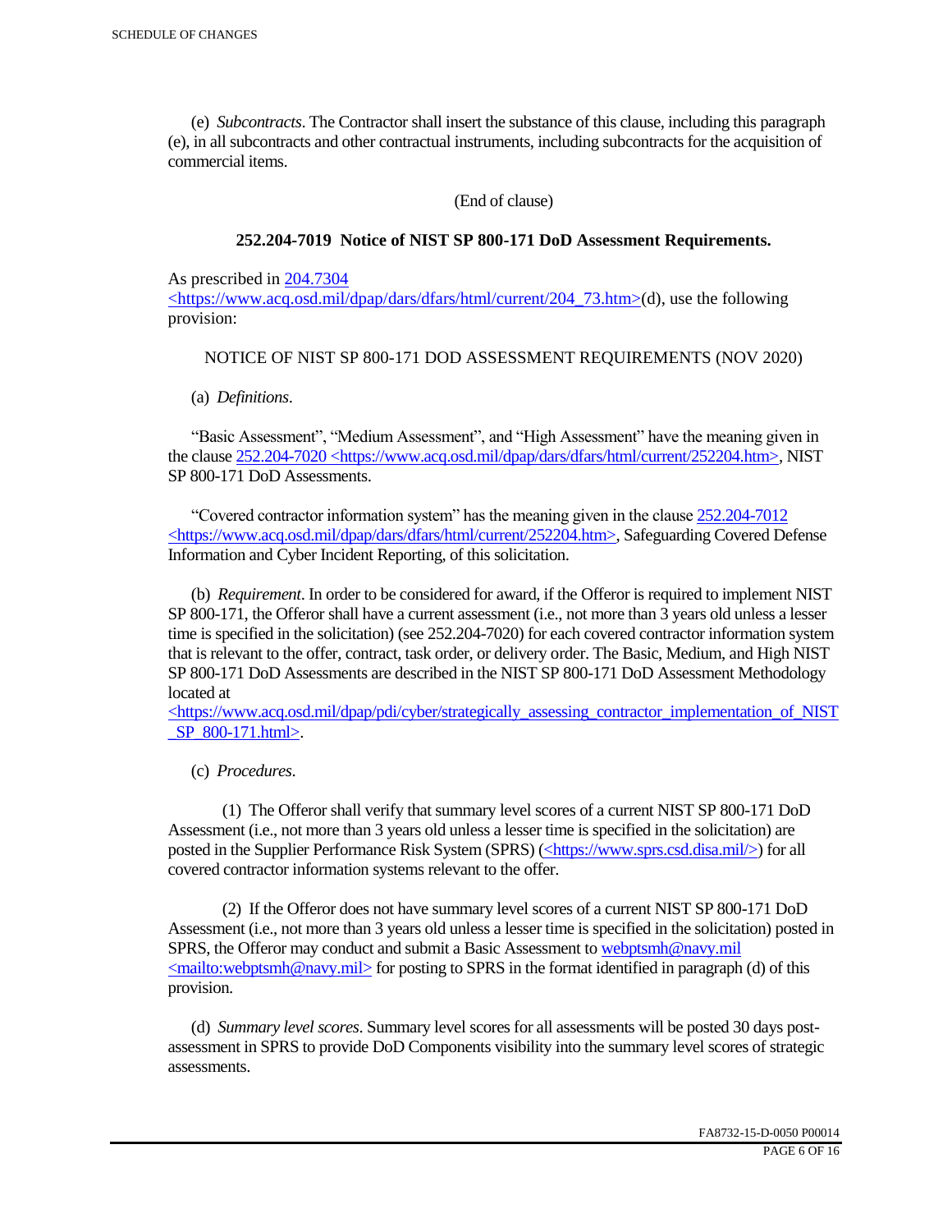(e) *Subcontracts*. The Contractor shall insert the substance of this clause, including this paragraph (e), in all subcontracts and other contractual instruments, including subcontracts for the acquisition of commercial items.

(End of clause)

## **252.204-7019 Notice of NIST SP 800-171 DoD Assessment Requirements.**

As prescribed in 204.7304

 $\langle$ https://www.acq.osd.mil/dpap/dars/dfars/html/current/204 73.htm>(d), use the following provision:

## NOTICE OF NIST SP 800-171 DOD ASSESSMENT REQUIREMENTS (NOV 2020)

(a) *Definitions*.

 "Basic Assessment", "Medium Assessment", and "High Assessment" have the meaning given in the clause 252.204-7020 <https://www.acq.osd.mil/dpap/dars/dfars/html/current/252204.htm>, NIST SP 800-171 DoD Assessments.

 "Covered contractor information system" has the meaning given in the clause 252.204-7012 <https://www.acq.osd.mil/dpap/dars/dfars/html/current/252204.htm>, Safeguarding Covered Defense Information and Cyber Incident Reporting, of this solicitation.

 (b) *Requirement*. In order to be considered for award, if the Offeror is required to implement NIST SP 800-171, the Offeror shall have a current assessment (i.e., not more than 3 years old unless a lesser time is specified in the solicitation) (see 252.204-7020) for each covered contractor information system that is relevant to the offer, contract, task order, or delivery order. The Basic, Medium, and High NIST SP 800-171 DoD Assessments are described in the NIST SP 800-171 DoD Assessment Methodology located at

 $\langle$ https://www.acq.osd.mil/dpap/pdi/cyber/strategically\_assessing\_contractor\_implementation\_of\_NIST \_SP\_800-171.html>.

(c) *Procedures*.

 (1) The Offeror shall verify that summary level scores of a current NIST SP 800-171 DoD Assessment (i.e., not more than 3 years old unless a lesser time is specified in the solicitation) are posted in the Supplier Performance Risk System (SPRS) (<https://www.sprs.csd.disa.mil/>) for all covered contractor information systems relevant to the offer.

 (2) If the Offeror does not have summary level scores of a current NIST SP 800-171 DoD Assessment (i.e., not more than 3 years old unless a lesser time is specified in the solicitation) posted in SPRS, the Offeror may conduct and submit a Basic Assessment to webptsmh@navy.mil  $\leq$ mailto:webptsmh@navy.mil> for posting to SPRS in the format identified in paragraph (d) of this provision.

 (d) *Summary level scores*. Summary level scores for all assessments will be posted 30 days postassessment in SPRS to provide DoD Components visibility into the summary level scores of strategic assessments.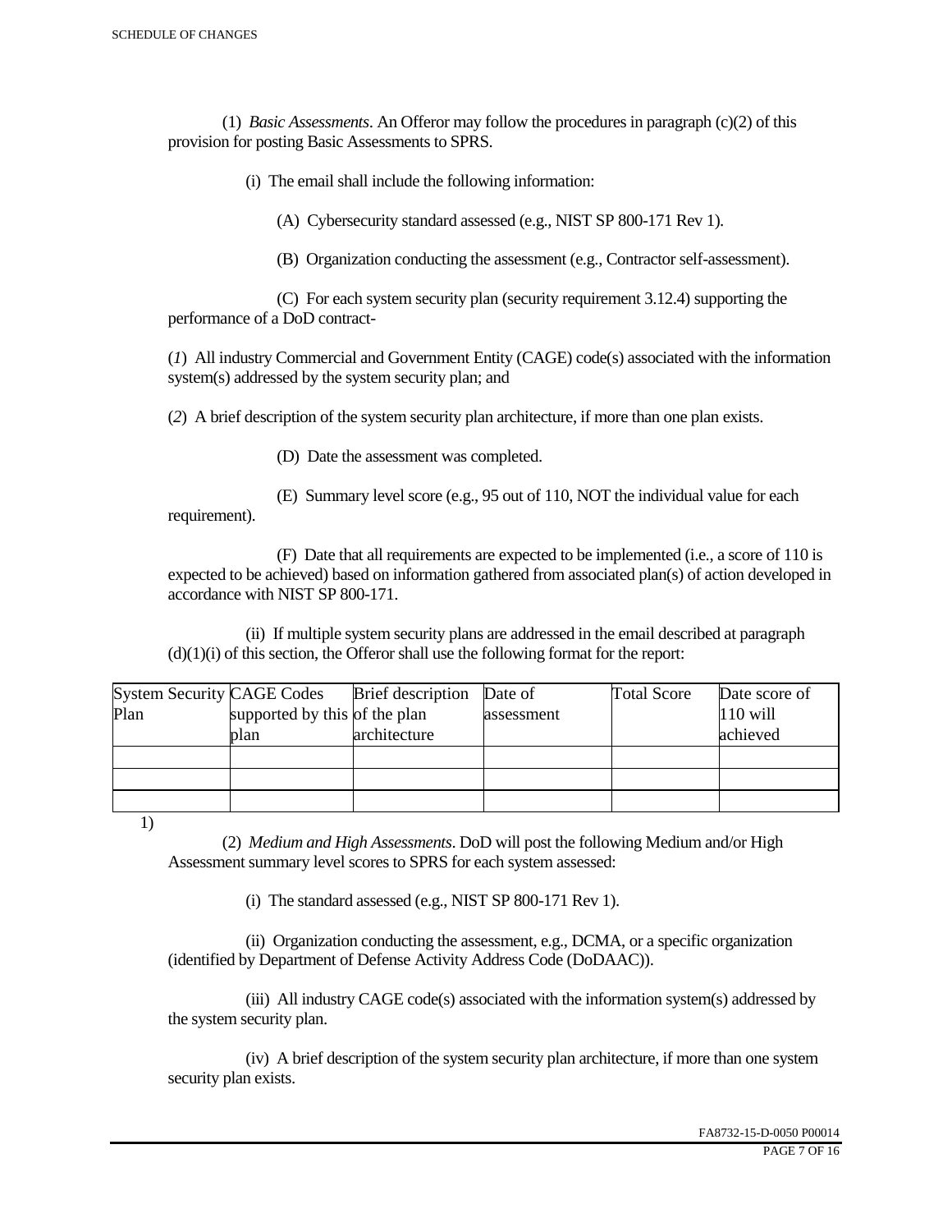(1) *Basic Assessments*. An Offeror may follow the procedures in paragraph (c)(2) of this provision for posting Basic Assessments to SPRS.

(i) The email shall include the following information:

(A) Cybersecurity standard assessed (e.g., NIST SP 800-171 Rev 1).

(B) Organization conducting the assessment (e.g., Contractor self-assessment).

 (C) For each system security plan (security requirement 3.12.4) supporting the performance of a DoD contract-

(*1*) All industry Commercial and Government Entity (CAGE) code(s) associated with the information system(s) addressed by the system security plan; and

(*2*) A brief description of the system security plan architecture, if more than one plan exists.

(D) Date the assessment was completed.

 (E) Summary level score (e.g., 95 out of 110, NOT the individual value for each requirement).

 (F) Date that all requirements are expected to be implemented (i.e., a score of 110 is expected to be achieved) based on information gathered from associated plan(s) of action developed in accordance with NIST SP 800-171.

 (ii) If multiple system security plans are addressed in the email described at paragraph  $(d)(1)(i)$  of this section, the Offeror shall use the following format for the report:

| <b>System Security CAGE Codes</b> |                               | <b>Brief</b> description | Date of    | <b>Total Score</b> | Date score of |
|-----------------------------------|-------------------------------|--------------------------|------------|--------------------|---------------|
| Plan                              | supported by this of the plan |                          | assessment |                    | $110$ will    |
|                                   | plan                          | architecture             |            |                    | achieved      |
|                                   |                               |                          |            |                    |               |
|                                   |                               |                          |            |                    |               |
|                                   |                               |                          |            |                    |               |

1)

 (2) *Medium and High Assessments*. DoD will post the following Medium and/or High Assessment summary level scores to SPRS for each system assessed:

(i) The standard assessed (e.g., NIST SP 800-171 Rev 1).

 (ii) Organization conducting the assessment, e.g., DCMA, or a specific organization (identified by Department of Defense Activity Address Code (DoDAAC)).

 (iii) All industry CAGE code(s) associated with the information system(s) addressed by the system security plan.

 (iv) A brief description of the system security plan architecture, if more than one system security plan exists.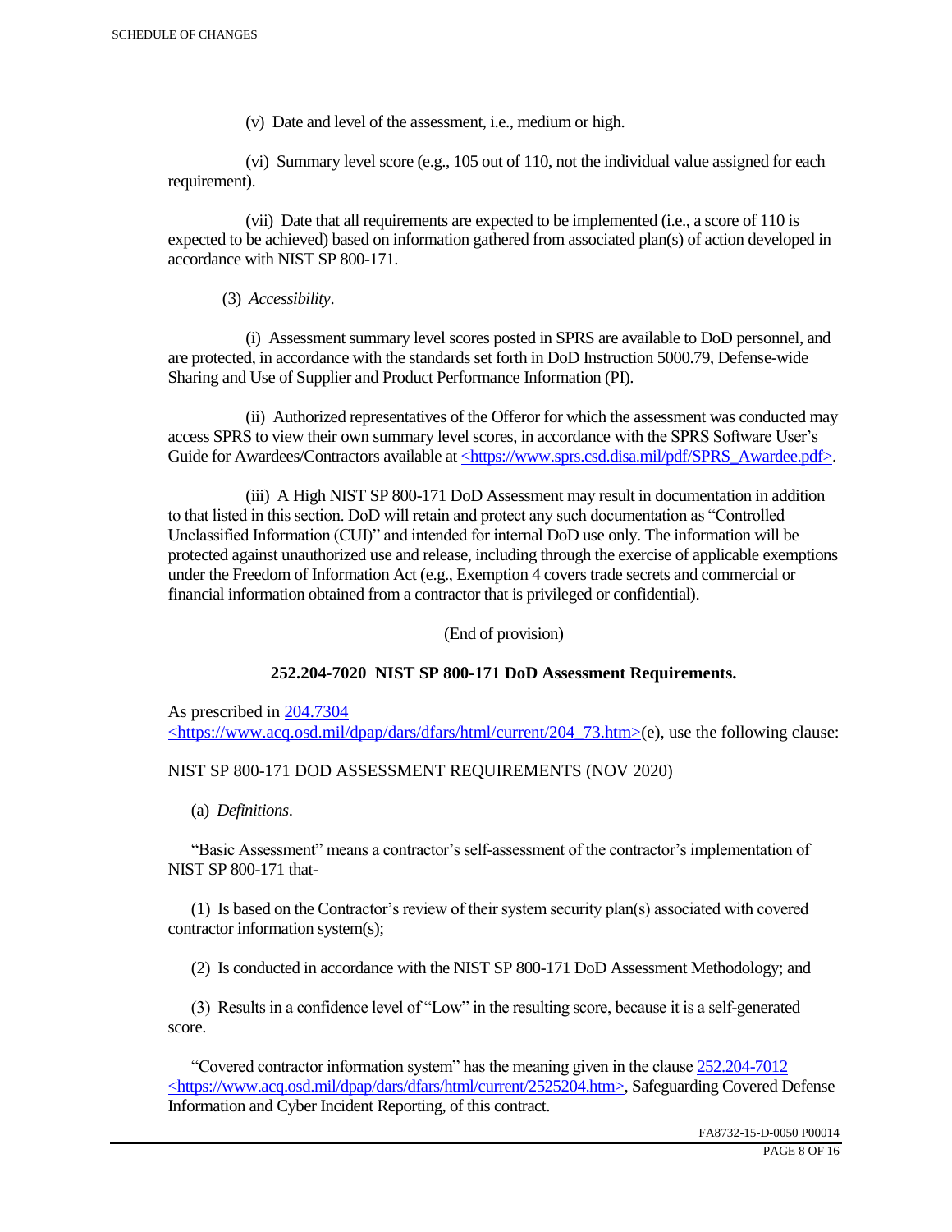(v) Date and level of the assessment, i.e., medium or high.

 (vi) Summary level score (e.g., 105 out of 110, not the individual value assigned for each requirement).

 (vii) Date that all requirements are expected to be implemented (i.e., a score of 110 is expected to be achieved) based on information gathered from associated plan(s) of action developed in accordance with NIST SP 800-171.

(3) *Accessibility*.

 (i) Assessment summary level scores posted in SPRS are available to DoD personnel, and are protected, in accordance with the standards set forth in DoD Instruction 5000.79, Defense-wide Sharing and Use of Supplier and Product Performance Information (PI).

 (ii) Authorized representatives of the Offeror for which the assessment was conducted may access SPRS to view their own summary level scores, in accordance with the SPRS Software User's Guide for Awardees/Contractors available at <https://www.sprs.csd.disa.mil/pdf/SPRS\_Awardee.pdf>.

 (iii) A High NIST SP 800-171 DoD Assessment may result in documentation in addition to that listed in this section. DoD will retain and protect any such documentation as "Controlled Unclassified Information (CUI)" and intended for internal DoD use only. The information will be protected against unauthorized use and release, including through the exercise of applicable exemptions under the Freedom of Information Act (e.g., Exemption 4 covers trade secrets and commercial or financial information obtained from a contractor that is privileged or confidential).

(End of provision)

## **252.204-7020 NIST SP 800-171 DoD Assessment Requirements.**

As prescribed in 204.7304 <https://www.acq.osd.mil/dpap/dars/dfars/html/current/204\_73.htm>(e), use the following clause:

## NIST SP 800-171 DOD ASSESSMENT REQUIREMENTS (NOV 2020)

(a) *Definitions*.

 "Basic Assessment" means a contractor's self-assessment of the contractor's implementation of NIST SP 800-171 that-

 (1) Is based on the Contractor's review of their system security plan(s) associated with covered contractor information system(s);

(2) Is conducted in accordance with the NIST SP 800-171 DoD Assessment Methodology; and

 (3) Results in a confidence level of "Low" in the resulting score, because it is a self-generated score.

 "Covered contractor information system" has the meaning given in the clause 252.204-7012 <https://www.acq.osd.mil/dpap/dars/dfars/html/current/2525204.htm>, Safeguarding Covered Defense Information and Cyber Incident Reporting, of this contract.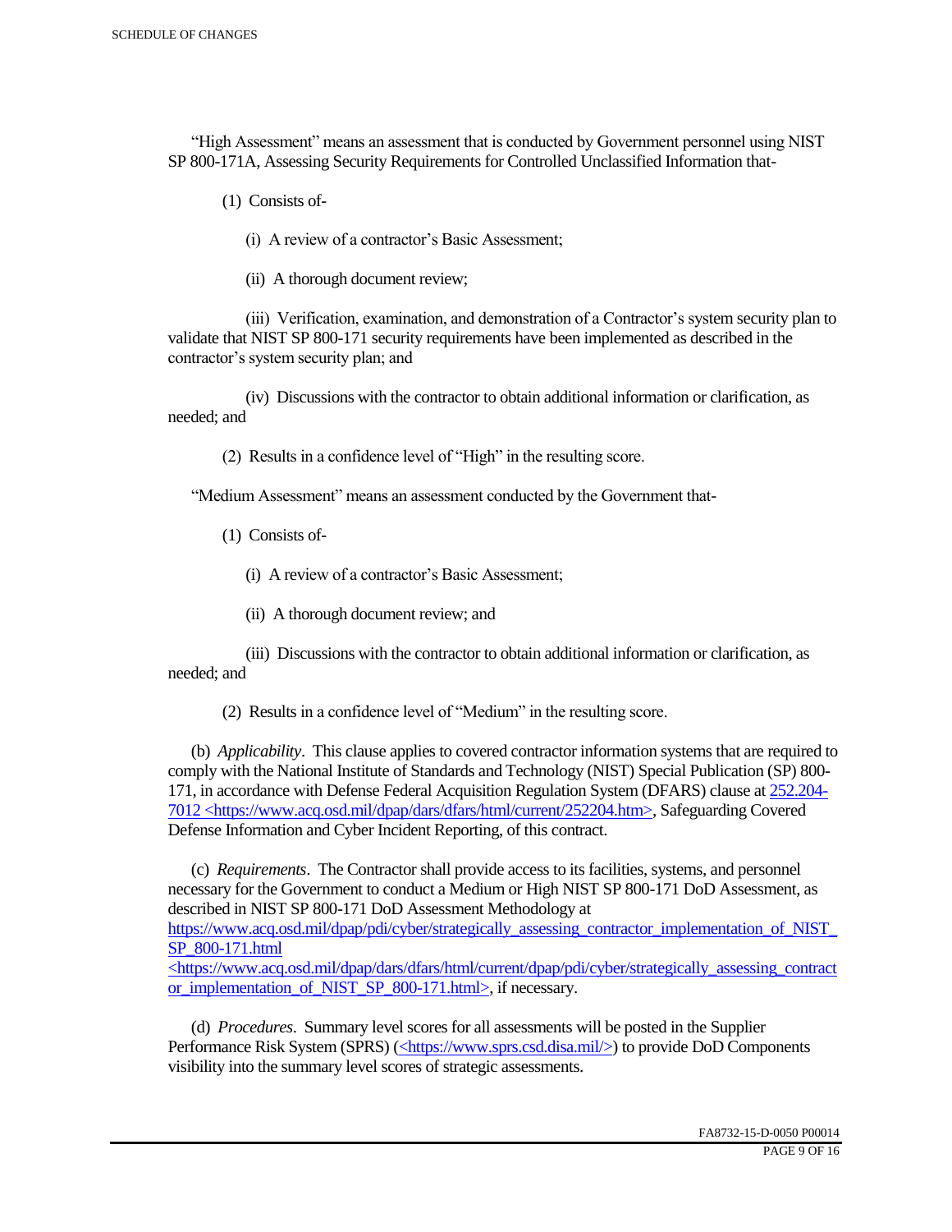"High Assessment" means an assessment that is conducted by Government personnel using NIST SP 800-171A, Assessing Security Requirements for Controlled Unclassified Information that-

(1) Consists of-

(i) A review of a contractor's Basic Assessment;

(ii) A thorough document review;

 (iii) Verification, examination, and demonstration of a Contractor's system security plan to validate that NIST SP 800-171 security requirements have been implemented as described in the contractor's system security plan; and

 (iv) Discussions with the contractor to obtain additional information or clarification, as needed; and

(2) Results in a confidence level of "High" in the resulting score.

"Medium Assessment" means an assessment conducted by the Government that-

(1) Consists of-

(i) A review of a contractor's Basic Assessment;

(ii) A thorough document review; and

 (iii) Discussions with the contractor to obtain additional information or clarification, as needed; and

(2) Results in a confidence level of "Medium" in the resulting score.

 (b) *Applicability*. This clause applies to covered contractor information systems that are required to comply with the National Institute of Standards and Technology (NIST) Special Publication (SP) 800- 171, in accordance with Defense Federal Acquisition Regulation System (DFARS) clause at 252.204- 7012 <https://www.acq.osd.mil/dpap/dars/dfars/html/current/252204.htm>, Safeguarding Covered Defense Information and Cyber Incident Reporting, of this contract.

 (c) *Requirements*. The Contractor shall provide access to its facilities, systems, and personnel necessary for the Government to conduct a Medium or High NIST SP 800-171 DoD Assessment, as described in NIST SP 800-171 DoD Assessment Methodology at https://www.acq.osd.mil/dpap/pdi/cyber/strategically\_assessing\_contractor\_implementation\_of\_NIST\_ SP\_800-171.html <https://www.acq.osd.mil/dpap/dars/dfars/html/current/dpap/pdi/cyber/strategically\_assessing\_contract

or implementation of NIST SP 800-171.html>, if necessary.

 (d) *Procedures*. Summary level scores for all assessments will be posted in the Supplier Performance Risk System (SPRS) (<https://www.sprs.csd.disa.mil/>) to provide DoD Components visibility into the summary level scores of strategic assessments.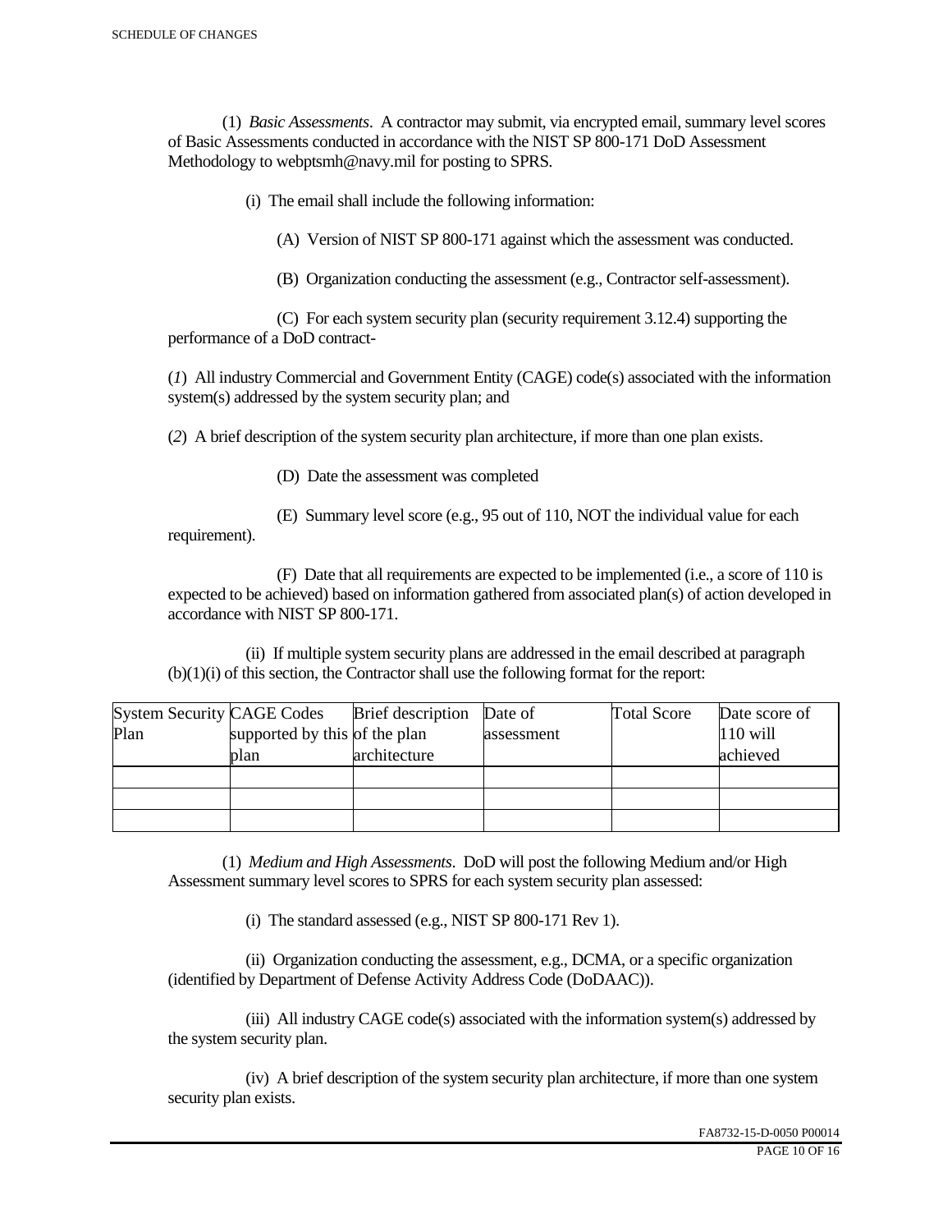(1) *Basic Assessments*. A contractor may submit, via encrypted email, summary level scores of Basic Assessments conducted in accordance with the NIST SP 800-171 DoD Assessment Methodology to webptsmh@navy.mil for posting to SPRS.

(i) The email shall include the following information:

(A) Version of NIST SP 800-171 against which the assessment was conducted.

(B) Organization conducting the assessment (e.g., Contractor self-assessment).

 (C) For each system security plan (security requirement 3.12.4) supporting the performance of a DoD contract-

(*1*) All industry Commercial and Government Entity (CAGE) code(s) associated with the information system(s) addressed by the system security plan; and

(*2*) A brief description of the system security plan architecture, if more than one plan exists.

(D) Date the assessment was completed

requirement).

(E) Summary level score (e.g., 95 out of 110, NOT the individual value for each

 (F) Date that all requirements are expected to be implemented (i.e., a score of 110 is expected to be achieved) based on information gathered from associated plan(s) of action developed in accordance with NIST SP 800-171.

 (ii) If multiple system security plans are addressed in the email described at paragraph (b)(1)(i) of this section, the Contractor shall use the following format for the report:

| <b>System Security CAGE Codes</b> |                               | <b>Brief</b> description | Date of    | <b>Total Score</b> | Date score of |
|-----------------------------------|-------------------------------|--------------------------|------------|--------------------|---------------|
| Plan                              | supported by this of the plan |                          | assessment |                    | $110$ will    |
|                                   | plan                          | architecture             |            |                    | achieved      |
|                                   |                               |                          |            |                    |               |
|                                   |                               |                          |            |                    |               |
|                                   |                               |                          |            |                    |               |

 (1) *Medium and High Assessments*. DoD will post the following Medium and/or High Assessment summary level scores to SPRS for each system security plan assessed:

(i) The standard assessed (e.g., NIST SP 800-171 Rev 1).

 (ii) Organization conducting the assessment, e.g., DCMA, or a specific organization (identified by Department of Defense Activity Address Code (DoDAAC)).

 (iii) All industry CAGE code(s) associated with the information system(s) addressed by the system security plan.

 (iv) A brief description of the system security plan architecture, if more than one system security plan exists.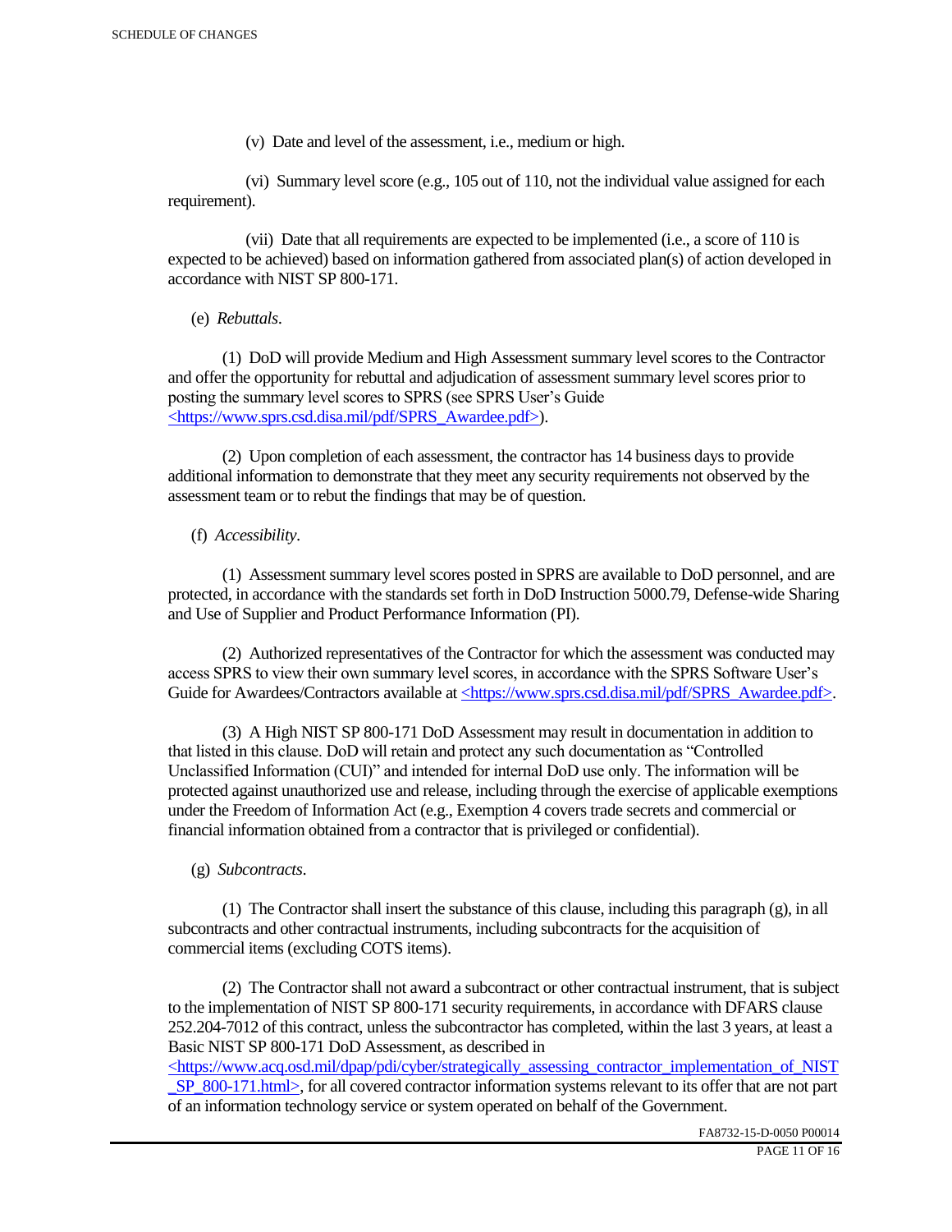(v) Date and level of the assessment, i.e., medium or high.

 (vi) Summary level score (e.g., 105 out of 110, not the individual value assigned for each requirement).

 (vii) Date that all requirements are expected to be implemented (i.e., a score of 110 is expected to be achieved) based on information gathered from associated plan(s) of action developed in accordance with NIST SP 800-171.

(e) *Rebuttals*.

 (1) DoD will provide Medium and High Assessment summary level scores to the Contractor and offer the opportunity for rebuttal and adjudication of assessment summary level scores prior to posting the summary level scores to SPRS (see SPRS User's Guide <https://www.sprs.csd.disa.mil/pdf/SPRS\_Awardee.pdf>).

 (2) Upon completion of each assessment, the contractor has 14 business days to provide additional information to demonstrate that they meet any security requirements not observed by the assessment team or to rebut the findings that may be of question.

## (f) *Accessibility*.

 (1) Assessment summary level scores posted in SPRS are available to DoD personnel, and are protected, in accordance with the standards set forth in DoD Instruction 5000.79, Defense-wide Sharing and Use of Supplier and Product Performance Information (PI).

 (2) Authorized representatives of the Contractor for which the assessment was conducted may access SPRS to view their own summary level scores, in accordance with the SPRS Software User's Guide for Awardees/Contractors available at <https://www.sprs.csd.disa.mil/pdf/SPRS\_Awardee.pdf>.

 (3) A High NIST SP 800-171 DoD Assessment may result in documentation in addition to that listed in this clause. DoD will retain and protect any such documentation as "Controlled Unclassified Information (CUI)" and intended for internal DoD use only. The information will be protected against unauthorized use and release, including through the exercise of applicable exemptions under the Freedom of Information Act (e.g., Exemption 4 covers trade secrets and commercial or financial information obtained from a contractor that is privileged or confidential).

## (g) *Subcontracts*.

(1) The Contractor shall insert the substance of this clause, including this paragraph  $(g)$ , in all subcontracts and other contractual instruments, including subcontracts for the acquisition of commercial items (excluding COTS items).

 (2) The Contractor shall not award a subcontract or other contractual instrument, that is subject to the implementation of NIST SP 800-171 security requirements, in accordance with DFARS clause 252.204-7012 of this contract, unless the subcontractor has completed, within the last 3 years, at least a Basic NIST SP 800-171 DoD Assessment, as described in

 $\langle$ https://www.acq.osd.mil/dpap/pdi/cyber/strategically\_assessing\_contractor\_implementation\_of\_NIST SP\_800-171.html>, for all covered contractor information systems relevant to its offer that are not part of an information technology service or system operated on behalf of the Government.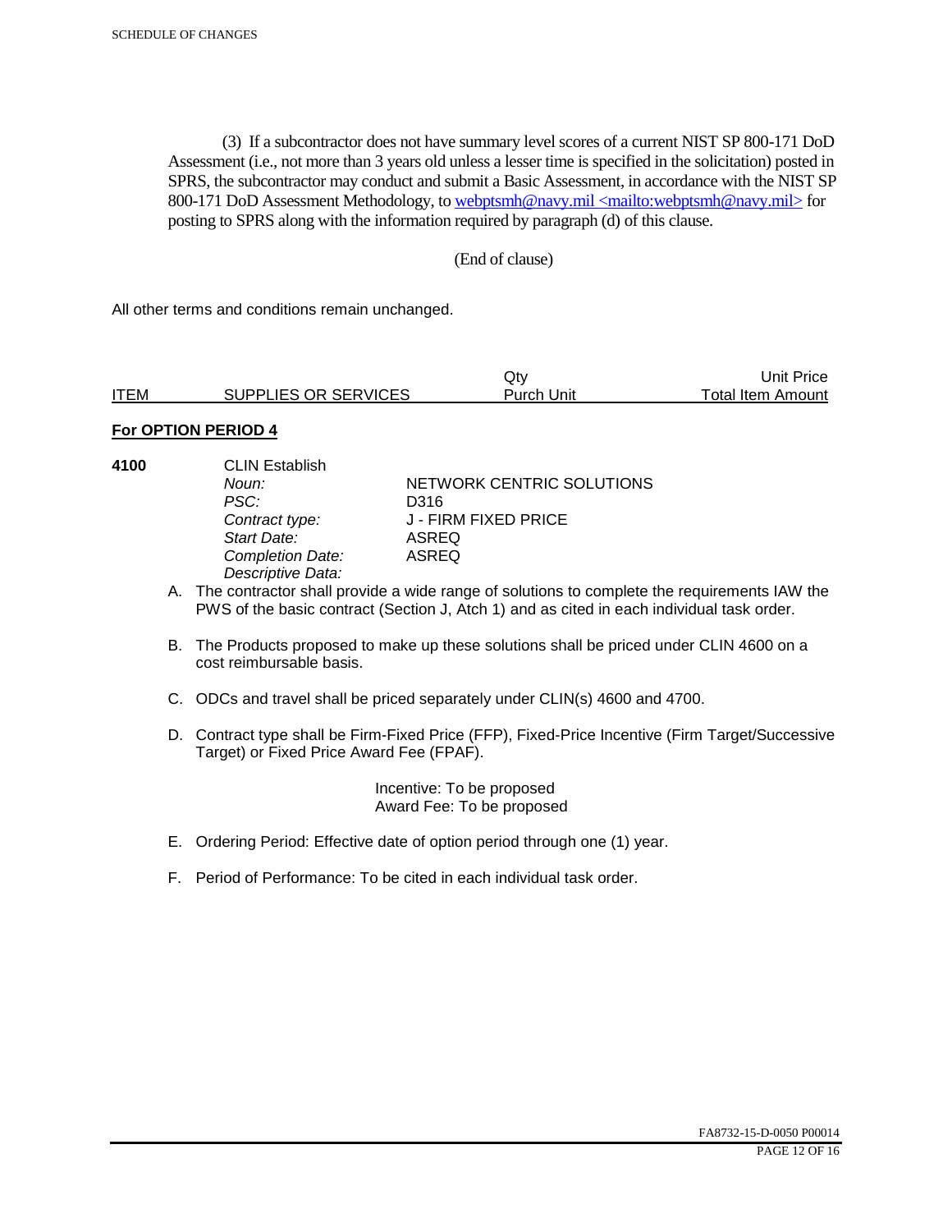(3) If a subcontractor does not have summary level scores of a current NIST SP 800-171 DoD Assessment (i.e., not more than 3 years old unless a lesser time is specified in the solicitation) posted in SPRS, the subcontractor may conduct and submit a Basic Assessment, in accordance with the NIST SP 800-171 DoD Assessment Methodology, to webptsmh@navy.mil <mailto:webptsmh@navy.mil> for posting to SPRS along with the information required by paragraph (d) of this clause.

## (End of clause)

All other terms and conditions remain unchanged.

|             |                      | Jtv.       | Unit Price l      |
|-------------|----------------------|------------|-------------------|
| <b>ITEM</b> | SUPPLIES OR SERVICES | Purch Unit | Total Item Amount |

## **For OPTION PERIOD 4**

**4100** CLIN Establish PSC: D316<br>Contract type: J - FII *Start Date:* ASREQ **Completion Date:** *Descriptive Data:* 

**Noun: NETWORK CENTRIC SOLUTIONS** *Contract type:* J - FIRM FIXED PRICE

- A. The contractor shall provide a wide range of solutions to complete the requirements IAW the PWS of the basic contract (Section J, Atch 1) and as cited in each individual task order.
- B. The Products proposed to make up these solutions shall be priced under CLIN 4600 on a cost reimbursable basis.
- C. ODCs and travel shall be priced separately under CLIN(s) 4600 and 4700.
- D. Contract type shall be Firm-Fixed Price (FFP), Fixed-Price Incentive (Firm Target/Successive Target) or Fixed Price Award Fee (FPAF).

 Incentive: To be proposed Award Fee: To be proposed

- E. Ordering Period: Effective date of option period through one (1) year.
- F. Period of Performance: To be cited in each individual task order.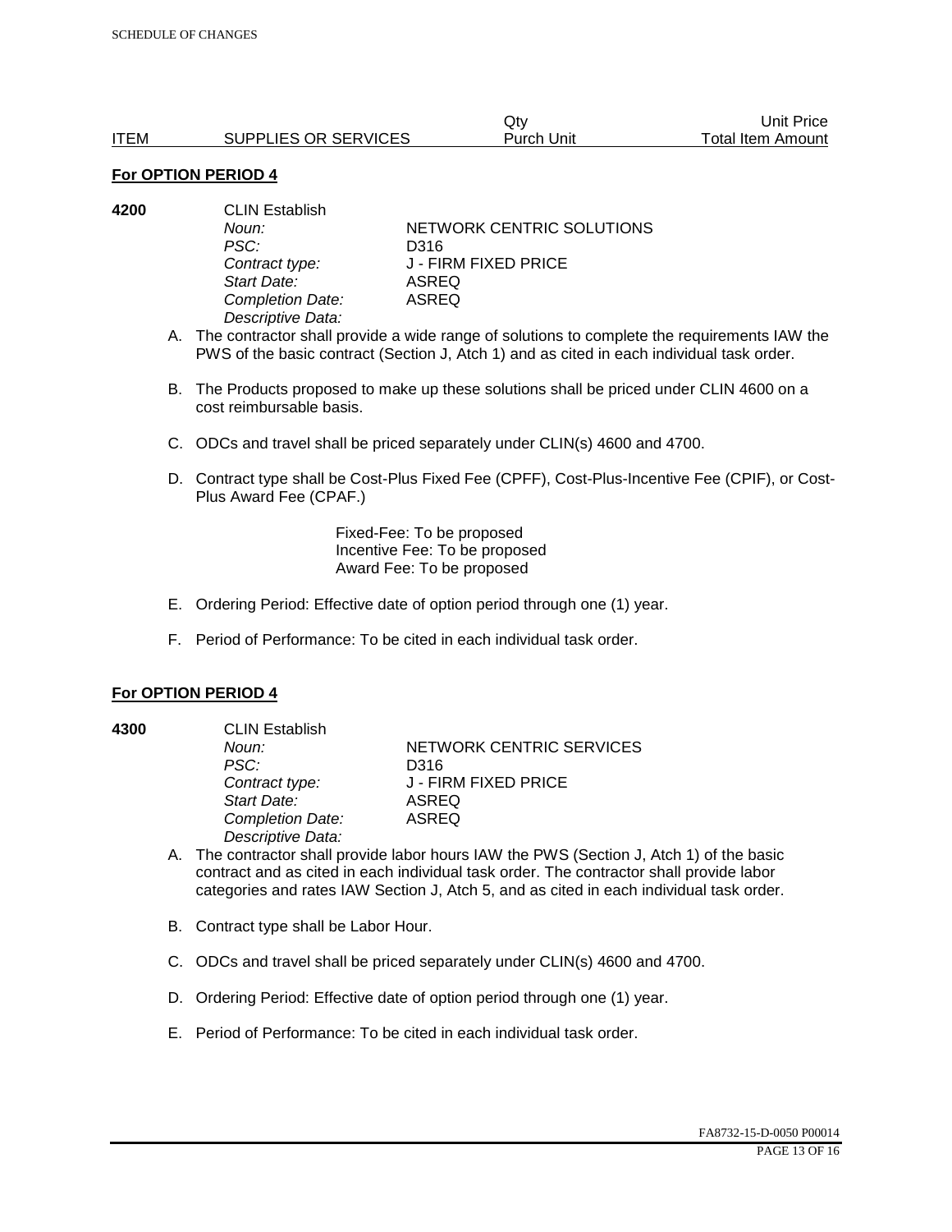|             |                      | Qtv        | Unit Price        |
|-------------|----------------------|------------|-------------------|
| <b>ITEM</b> | SUPPLIES OR SERVICES | Purch Unit | Total Item Amount |

#### **For OPTION PERIOD 4**

| 4200 | <b>CLIN Establish</b> |                           |  |
|------|-----------------------|---------------------------|--|
|      | Noun:                 | NETWORK CENTRIC SOLUTIONS |  |
|      | PSC:                  | D316                      |  |
|      | Contract type:        | J - FIRM FIXED PRICE      |  |
|      | Start Date:           | ASREQ                     |  |
|      | Completion Date:      | ASREQ                     |  |
|      | Descriptive Data:     |                           |  |

- A. The contractor shall provide a wide range of solutions to complete the requirements IAW the PWS of the basic contract (Section J, Atch 1) and as cited in each individual task order.
- B. The Products proposed to make up these solutions shall be priced under CLIN 4600 on a cost reimbursable basis.
- C. ODCs and travel shall be priced separately under CLIN(s) 4600 and 4700.
- D. Contract type shall be Cost-Plus Fixed Fee (CPFF), Cost-Plus-Incentive Fee (CPIF), or Cost-Plus Award Fee (CPAF.)

Fixed-Fee: To be proposed Incentive Fee: To be proposed Award Fee: To be proposed

- E. Ordering Period: Effective date of option period through one (1) year.
- F. Period of Performance: To be cited in each individual task order.

#### **For OPTION PERIOD 4**

**4300** CLIN Establish *PSC:* D316 *Start Date:* ASREQ *Completion Date:* ASREQ *Descriptive Data:* 

**Noun: NETWORK CENTRIC SERVICES** *Contract type:* J - FIRM FIXED PRICE

- A. The contractor shall provide labor hours IAW the PWS (Section J, Atch 1) of the basic contract and as cited in each individual task order. The contractor shall provide labor categories and rates IAW Section J, Atch 5, and as cited in each individual task order.
- B. Contract type shall be Labor Hour.
- C. ODCs and travel shall be priced separately under CLIN(s) 4600 and 4700.
- D. Ordering Period: Effective date of option period through one (1) year.
- E. Period of Performance: To be cited in each individual task order.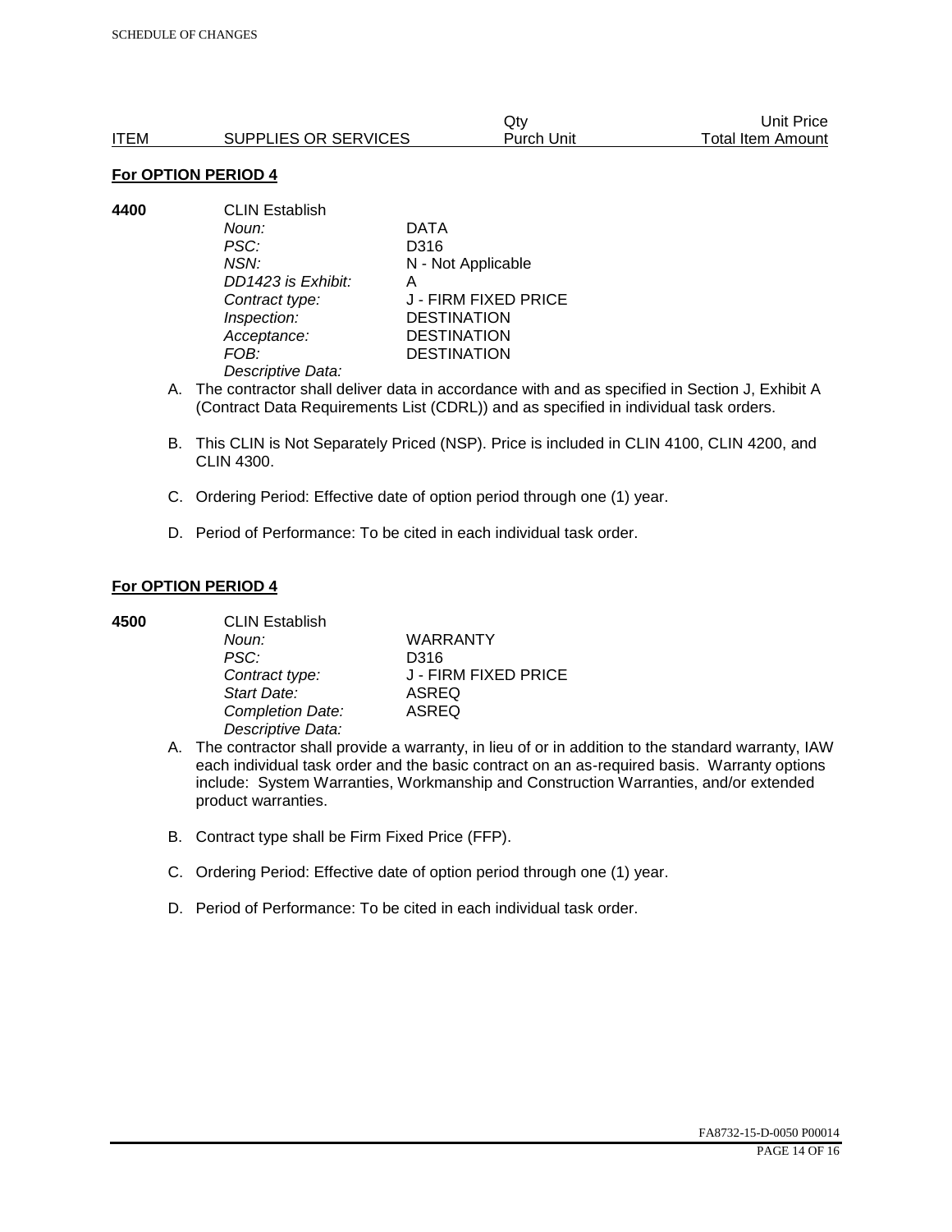|      |                      | Qtv        | Unit Price        |
|------|----------------------|------------|-------------------|
| ITEM | SUPPLIES OR SERVICES | Purch Unit | Total Item Amount |

#### **For OPTION PERIOD 4**

**4400** CLIN Establish *Noun:* DATA *PSC:* D316 *NSN:* N - Not Applicable *DD1423 is Exhibit:* A *Contract type:* J - FIRM FIXED PRICE *Inspection:* DESTINATION *Acceptance:* DESTINATION *FOB:* DESTINATION *Descriptive Data:* 

- A. The contractor shall deliver data in accordance with and as specified in Section J, Exhibit A (Contract Data Requirements List (CDRL)) and as specified in individual task orders.
- B. This CLIN is Not Separately Priced (NSP). Price is included in CLIN 4100, CLIN 4200, and CLIN 4300.
- C. Ordering Period: Effective date of option period through one (1) year.
- D. Period of Performance: To be cited in each individual task order.

## **For OPTION PERIOD 4**

| 4500 | <b>CLIN Establish</b> |                      |  |
|------|-----------------------|----------------------|--|
|      | Noun:                 | <b>WARRANTY</b>      |  |
|      | PSC:                  | D316                 |  |
|      | Contract type:        | J - FIRM FIXED PRICE |  |
|      | Start Date:           | <b>ASREQ</b>         |  |
|      | Completion Date:      | <b>ASREQ</b>         |  |
|      | Descriptive Data:     |                      |  |

- A. The contractor shall provide a warranty, in lieu of or in addition to the standard warranty, IAW each individual task order and the basic contract on an as-required basis. Warranty options include: System Warranties, Workmanship and Construction Warranties, and/or extended product warranties.
- B. Contract type shall be Firm Fixed Price (FFP).
- C. Ordering Period: Effective date of option period through one (1) year.
- D. Period of Performance: To be cited in each individual task order.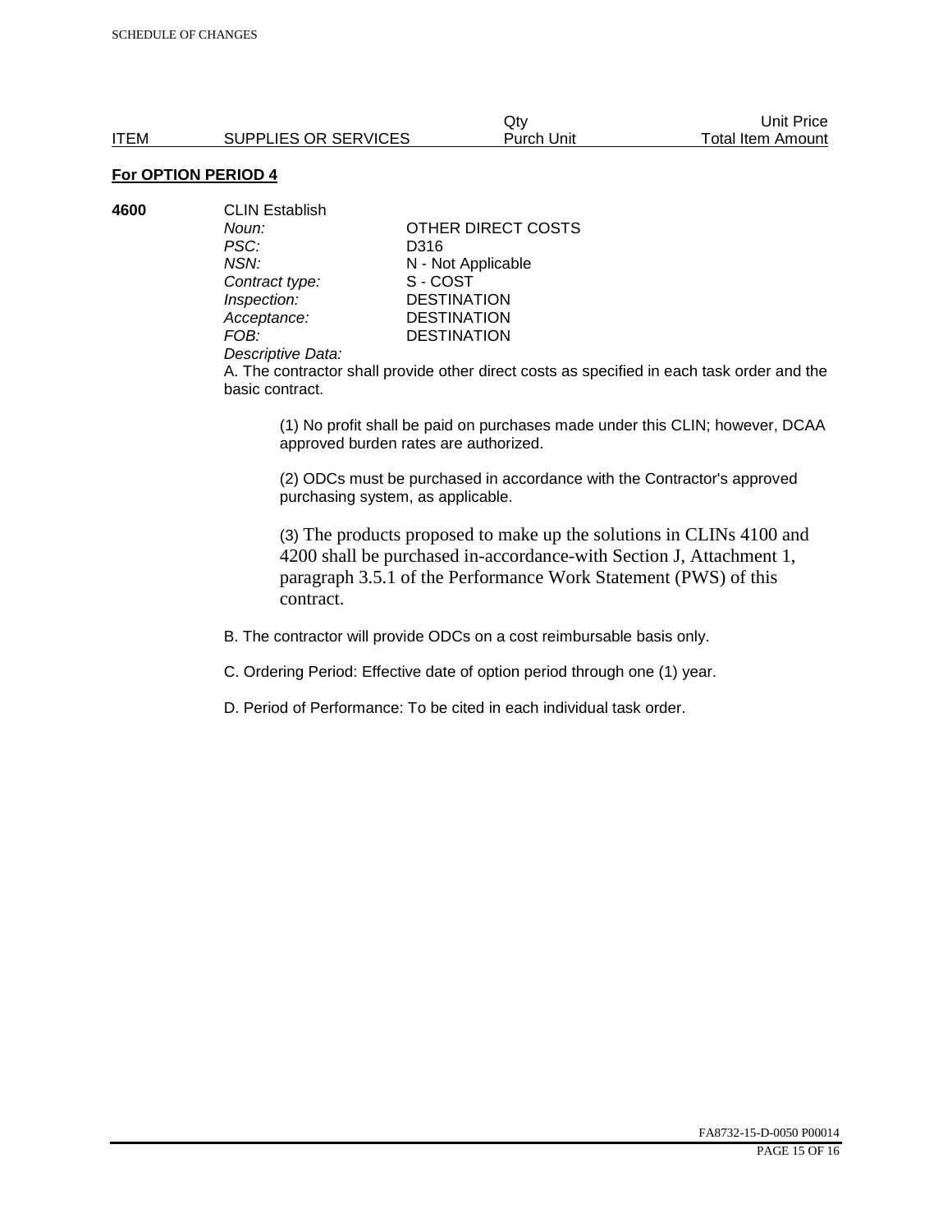Qty Unit Price ITEM SUPPLIES OR SERVICES Purch Unit Total Item Amount

# **For OPTION PERIOD 4**

| 4600 | <b>CLIN Establish</b> |                    |  |
|------|-----------------------|--------------------|--|
|      | Noun:                 | OTHER DIRECT COSTS |  |
|      | PSC:                  | D316               |  |
|      | NSN:                  | N - Not Applicable |  |
|      | Contract type:        | S-COST             |  |
|      | Inspection:           | <b>DESTINATION</b> |  |
|      | Acceptance:           | <b>DESTINATION</b> |  |
|      | FOB:                  | <b>DESTINATION</b> |  |
|      |                       |                    |  |

#### *Descriptive Data:*

A. The contractor shall provide other direct costs as specified in each task order and the basic contract.

(1) No profit shall be paid on purchases made under this CLIN; however, DCAA approved burden rates are authorized.

(2) ODCs must be purchased in accordance with the Contractor's approved purchasing system, as applicable.

(3) The products proposed to make up the solutions in CLINs 4100 and 4200 shall be purchased in-accordance-with Section J, Attachment 1, paragraph 3.5.1 of the Performance Work Statement (PWS) of this contract.

B. The contractor will provide ODCs on a cost reimbursable basis only.

C. Ordering Period: Effective date of option period through one (1) year.

D. Period of Performance: To be cited in each individual task order.